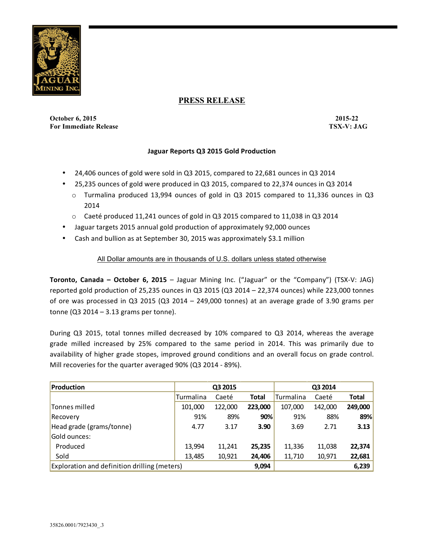

# **PRESS RELEASE**

**October 6, 2015 2015-22 For Immediate Release TSX-V: JAG**

## **Jaguar Reports Q3 2015 Gold Production**

- 24,406 ounces of gold were sold in Q3 2015, compared to 22,681 ounces in Q3 2014
- 25,235 ounces of gold were produced in Q3 2015, compared to 22,374 ounces in Q3 2014
	- $\circ$  Turmalina produced 13,994 ounces of gold in Q3 2015 compared to 11,336 ounces in Q3 2014
	- $\circ$  Caeté produced 11,241 ounces of gold in Q3 2015 compared to 11,038 in Q3 2014
- Jaguar targets 2015 annual gold production of approximately 92,000 ounces
- Cash and bullion as at September 30, 2015 was approximately \$3.1 million

## All Dollar amounts are in thousands of U.S. dollars unless stated otherwise

**Toronto, Canada – October 6, 2015** – Jaguar Mining Inc. ("Jaguar" or the "Company") (TSX-V: JAG) reported gold production of 25,235 ounces in Q3 2015 (Q3 2014 – 22,374 ounces) while 223,000 tonnes of ore was processed in Q3 2015 (Q3 2014 – 249,000 tonnes) at an average grade of 3.90 grams per tonne  $(Q3 2014 - 3.13$  grams per tonne).

During Q3 2015, total tonnes milled decreased by 10% compared to Q3 2014, whereas the average grade milled increased by 25% compared to the same period in 2014. This was primarily due to availability of higher grade stopes, improved ground conditions and an overall focus on grade control. Mill recoveries for the quarter averaged 90% (Q3 2014 - 89%).

| Production                                   | Q3 2015   |         |         | Q3 2014          |         |              |
|----------------------------------------------|-----------|---------|---------|------------------|---------|--------------|
|                                              | Turmalina | Caeté   | Total   | <b>Turmalina</b> | Caeté   | <b>Total</b> |
| Tonnes milled                                | 101,000   | 122,000 | 223,000 | 107,000          | 142,000 | 249,000      |
| Recovery                                     | 91%       | 89%     | 90%     | 91%              | 88%     | 89%          |
| Head grade (grams/tonne)                     | 4.77      | 3.17    | 3.90    | 3.69             | 2.71    | 3.13         |
| Gold ounces:                                 |           |         |         |                  |         |              |
| Produced                                     | 13,994    | 11,241  | 25,235  | 11,336           | 11,038  | 22,374       |
| Sold                                         | 13,485    | 10,921  | 24,406  | 11,710           | 10,971  | 22,681       |
| Exploration and definition drilling (meters) |           |         | 9,094   |                  |         | 6,239        |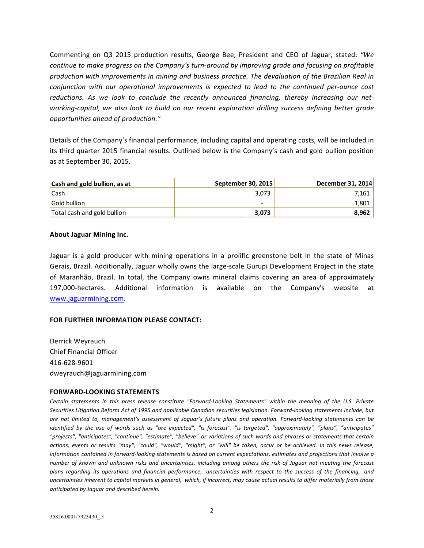Commenting on Q3 2015 production results, George Bee, President and CEO of Jaguar, stated: "We *continue to make progress on the Company's turn-around by improving grade and focusing on profitable* production with improvements in mining and business practice. The devaluation of the Brazilian Real in *conjunction with our operational improvements is expected to lead to the continued per-ounce cost*  reductions. As we look to conclude the recently announced financing, thereby increasing our net*working-capital, we also look to build on our recent exploration drilling success defining better grade opportunities ahead of production."*

Details of the Company's financial performance, including capital and operating costs, will be included in its third quarter 2015 financial results. Outlined below is the Company's cash and gold bullion position as at September 30, 2015.

| Cash and gold bullion, as at | September 30, 2015 | December 31, 2014 |
|------------------------------|--------------------|-------------------|
| Cash                         | 3,073              | 7,161             |
| Gold bullion                 | -                  | 1,801             |
| Total cash and gold bullion  | 3,073              | 8,962             |

#### **About Jaguar Mining Inc.**

Jaguar is a gold producer with mining operations in a prolific greenstone belt in the state of Minas Gerais, Brazil. Additionally, Jaguar wholly owns the large-scale Gurupi Development Project in the state of Maranhão, Brazil. In total, the Company owns mineral claims covering an area of approximately 197,000-hectares. Additional information is available on the Company's website at www.jaguarmining.com.

### **FOR FURTHER INFORMATION PLEASE CONTACT:**

Derrick Weyrauch Chief Financial Officer 416-628-9601 dweyrauch@jaguarmining.com

#### **FORWARD-LOOKING STATEMENTS**

Certain statements in this press release constitute "Forward-Looking Statements" within the meaning of the U.S. Private Securities Litigation Reform Act of 1995 and applicable Canadian securities legislation. Forward-looking statements include, but are not limited to, management's assessment of Jaguar's future plans and operation. Forward-looking statements can be *identified* by the use of words such as "are expected", "is forecast", "is targeted", "approximately", "plans", "anticipates" "projects", "anticipates", "continue", "estimate", "believe" or variations of such words and phrases or statements that certain actions, events or results "may", "could", "would", "might", or "will" be taken, occur or be achieved. In this news release, *information contained in forward-looking statements is based on current expectations, estimates and projections that involve a* number of known and unknown risks and uncertainties, including among others the risk of Jaguar not meeting the forecast plans regarding its operations and financial performance, uncertainties with respect to the success of the financing, and uncertainties inherent to capital markets in general, which, if incorrect, may cause actual results to differ materially from those *anticipated by Jaguar and described herein.*